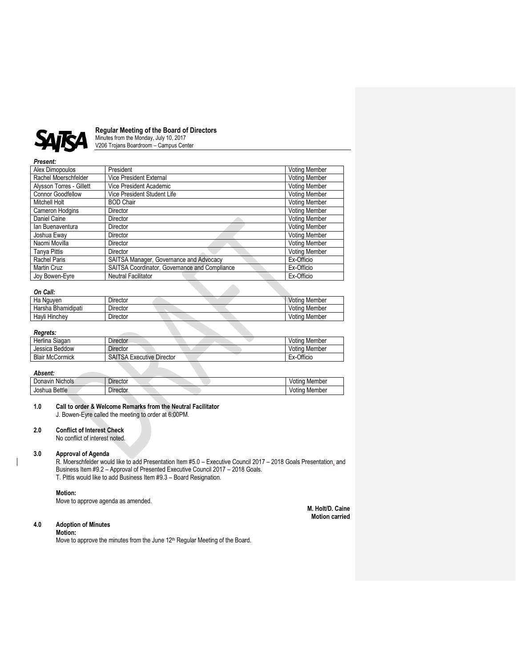

# **Regular Meeting of the Board of Directors**

Minutes from the Monday, July 10, 2017 V206 Trojans Boardroom – Campus Center

# *Present:*

| Alex Dimopoulos          | President                                     | <b>Voting Member</b> |
|--------------------------|-----------------------------------------------|----------------------|
| Rachel Moerschfelder     | <b>Vice President External</b>                | <b>Voting Member</b> |
| Alysson Torres - Gillett | Vice President Academic                       | <b>Voting Member</b> |
| <b>Connor Goodfellow</b> | Vice President Student Life                   | <b>Voting Member</b> |
| Mitchell Holt            | <b>BOD Chair</b>                              | <b>Voting Member</b> |
| Cameron Hodgins          | Director                                      | <b>Voting Member</b> |
| Daniel Caine             | Director                                      | Voting Member        |
| Ian Buenaventura         | Director                                      | <b>Voting Member</b> |
| Joshua Eway              | Director                                      | <b>Voting Member</b> |
| Naomi Movilla            | Director                                      | <b>Voting Member</b> |
| <b>Tanya Pittis</b>      | Director                                      | <b>Voting Member</b> |
| Rachel Paris             | SAITSA Manager, Governance and Advocacy       | Ex-Officio           |
| <b>Martin Cruz</b>       | SAITSA Coordinator, Governance and Compliance | Ex-Officio           |
| Joy Bowen-Eyre           | Neutral Facilitator                           | Ex-Officio           |

# *On Call:*

| vn van.            |          |  |               |
|--------------------|----------|--|---------------|
| Ha Nguven          | Director |  | Voting Member |
| Harsha Bhamidipati | Director |  | Voting Member |
| Havli Hinchev      | Director |  | Voting Member |

#### *Regrets:*

| .                      |                                  |               |
|------------------------|----------------------------------|---------------|
| Herlina Siagan         | Director                         | Voting Member |
| Jessica Beddow         | Director                         | Voting Member |
| <b>Blair McCormick</b> | <b>SAITSA Executive Director</b> | Ex-Officio    |
|                        |                                  |               |

#### *Absent:*

| $\cdot$<br><b>Nichols</b><br>Donavin | $\overline{\phantom{a}}$<br>$D$ irector | Member<br><b>VOUNG</b> |
|--------------------------------------|-----------------------------------------|------------------------|
| <b>Bettle</b>                        | -                                       | Member                 |
| Joshua                               | Director                                | <b>VOUNG</b>           |

#### **1.0 Call to order & Welcome Remarks from the Neutral Facilitator** J. Bowen-Eyre called the meeting to order at 6:00PM.

**2.0 Conflict of Interest Check**

No conflict of interest noted.

## **3.0 Approval of Agenda**

R. Moerschfelder would like to add Presentation Item #5.0 – Executive Council 2017 – 2018 Goals Presentation, and Business Item #9.2 – Approval of Presented Executive Council 2017 – 2018 Goals. T. Pittis would like to add Business Item #9.3 – Board Resignation.

## **Motion:**

Move to approve agenda as amended.

**M. Holt/D. Caine Motion carried**

# **4.0 Adoption of Minutes**

## **Motion:**

Move to approve the minutes from the June 12<sup>th</sup> Regular Meeting of the Board.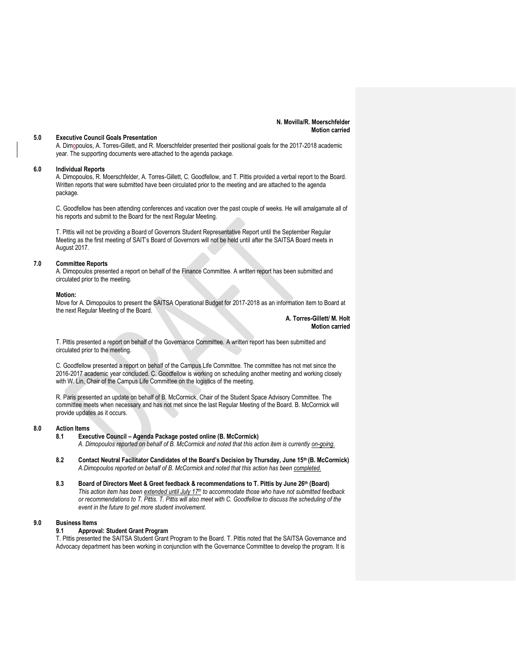#### **N. Movilla/R. Moerschfelder Motion carried**

#### **5.0 Executive Council Goals Presentation**

A. Dimopoulos, A. Torres-Gillett, and R. Moerschfelder presented their positional goals for the 2017-2018 academic year. The supporting documents were attached to the agenda package.

#### **6.0 Individual Reports**

A. Dimopoulos, R. Moerschfelder, A. Torres-Gillett, C. Goodfellow, and T. Pittis provided a verbal report to the Board. Written reports that were submitted have been circulated prior to the meeting and are attached to the agenda package.

C. Goodfellow has been attending conferences and vacation over the past couple of weeks. He will amalgamate all of his reports and submit to the Board for the next Regular Meeting.

T. Pittis will not be providing a Board of Governors Student Representative Report until the September Regular Meeting as the first meeting of SAIT's Board of Governors will not be held until after the SAITSA Board meets in August 2017.

#### **7.0 Committee Reports**

A. Dimopoulos presented a report on behalf of the Finance Committee. A written report has been submitted and circulated prior to the meeting.

#### **Motion:**

Move for A. Dimopoulos to present the SAITSA Operational Budget for 2017-2018 as an information item to Board at the next Regular Meeting of the Board.

> **A. Torres-Gillett/ M. Holt Motion carried**

T. Pittis presented a report on behalf of the Governance Committee. A written report has been submitted and circulated prior to the meeting.

C. Goodfellow presented a report on behalf of the Campus Life Committee. The committee has not met since the 2016-2017 academic year concluded. C. Goodfellow is working on scheduling another meeting and working closely with W. Lin, Chair of the Campus Life Committee on the logistics of the meeting.

R. Paris presented an update on behalf of B. McCormick, Chair of the Student Space Advisory Committee. The committee meets when necessary and has not met since the last Regular Meeting of the Board. B. McCormick will provide updates as it occurs.

#### **8.0 Action Items**

**8.1 Executive Council – Agenda Package posted online (B. McCormick)**

*A. Dimopoulos reported on behalf of B. McCormick and noted that this action item is currently on-going.*

- **8.2 Contact Neutral Facilitator Candidates of the Board's Decision by Thursday, June 15th (B. McCormick)** *A.Dimopoulos reported on behalf of B. McCormick and noted that this action has been completed.*
- **8.3 Board of Directors Meet & Greet feedback & recommendations to T. Pittis by June 26th (Board)** *This action item has been extended until July 17th to accommodate those who have not submitted feedback or recommendations to T. Pittis. T. Pittis will also meet with C. Goodfellow to discuss the scheduling of the event in the future to get more student involvement.*

#### **9.0 Business Items**

#### **9.1 Approval: Student Grant Program**

T. Pittis presented the SAITSA Student Grant Program to the Board. T. Pittis noted that the SAITSA Governance and Advocacy department has been working in conjunction with the Governance Committee to develop the program. It is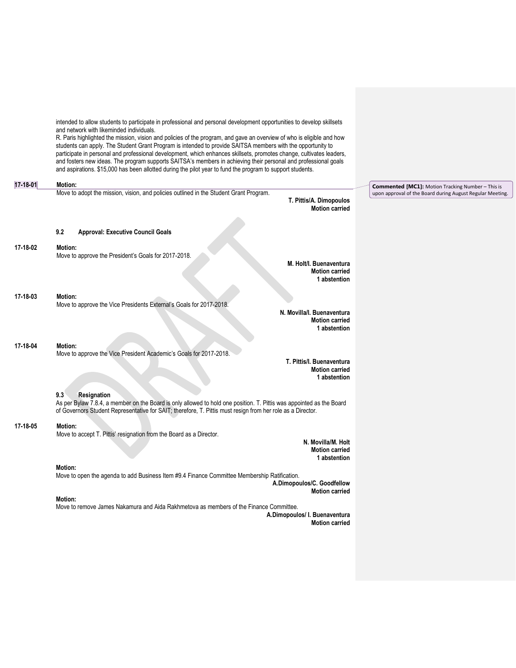|                | intended to allow students to participate in professional and personal development opportunities to develop skillsets<br>and network with likeminded individuals.<br>R. Paris highlighted the mission, vision and policies of the program, and gave an overview of who is eligible and how<br>students can apply. The Student Grant Program is intended to provide SAITSA members with the opportunity to<br>participate in personal and professional development, which enhances skillsets, promotes change, cultivates leaders,<br>and fosters new ideas. The program supports SAITSA's members in achieving their personal and professional goals<br>and aspirations. \$15,000 has been allotted during the pilot year to fund the program to support students. |                        |
|----------------|--------------------------------------------------------------------------------------------------------------------------------------------------------------------------------------------------------------------------------------------------------------------------------------------------------------------------------------------------------------------------------------------------------------------------------------------------------------------------------------------------------------------------------------------------------------------------------------------------------------------------------------------------------------------------------------------------------------------------------------------------------------------|------------------------|
| $17 - 18 - 01$ | Motion:                                                                                                                                                                                                                                                                                                                                                                                                                                                                                                                                                                                                                                                                                                                                                            | <b>Commented [MC1]</b> |
|                | Move to adopt the mission, vision, and policies outlined in the Student Grant Program.<br>T. Pittis/A. Dimopoulos<br><b>Motion carried</b>                                                                                                                                                                                                                                                                                                                                                                                                                                                                                                                                                                                                                         | upon approval of the   |
|                | 9.2<br><b>Approval: Executive Council Goals</b>                                                                                                                                                                                                                                                                                                                                                                                                                                                                                                                                                                                                                                                                                                                    |                        |
| 17-18-02       | <b>Motion:</b>                                                                                                                                                                                                                                                                                                                                                                                                                                                                                                                                                                                                                                                                                                                                                     |                        |
|                | Move to approve the President's Goals for 2017-2018.<br>M. Holt/I. Buenaventura<br><b>Motion carried</b><br>1 abstention                                                                                                                                                                                                                                                                                                                                                                                                                                                                                                                                                                                                                                           |                        |
| 17-18-03       | Motion:<br>Move to approve the Vice Presidents External's Goals for 2017-2018.<br>N. Movilla/I. Buenaventura                                                                                                                                                                                                                                                                                                                                                                                                                                                                                                                                                                                                                                                       |                        |
|                | <b>Motion carried</b><br>1 abstention                                                                                                                                                                                                                                                                                                                                                                                                                                                                                                                                                                                                                                                                                                                              |                        |
| 17-18-04       | Motion:<br>Move to approve the Vice President Academic's Goals for 2017-2018.<br>T. Pittis/I. Buenaventura<br><b>Motion carried</b><br>1 abstention                                                                                                                                                                                                                                                                                                                                                                                                                                                                                                                                                                                                                |                        |
|                | 9.3<br>Resignation<br>As per Bylaw 7.8.4, a member on the Board is only allowed to hold one position. T. Pittis was appointed as the Board<br>of Governors Student Representative for SAIT; therefore, T. Pittis must resign from her role as a Director.                                                                                                                                                                                                                                                                                                                                                                                                                                                                                                          |                        |
| 17-18-05       | <b>Motion:</b><br>Move to accept T. Pittis' resignation from the Board as a Director.<br>N. Movilla/M. Holt<br><b>Motion carried</b><br>1 abstention                                                                                                                                                                                                                                                                                                                                                                                                                                                                                                                                                                                                               |                        |
|                | <b>Motion:</b><br>Move to open the agenda to add Business Item #9.4 Finance Committee Membership Ratification.<br>A.Dimopoulos/C. Goodfellow<br><b>Motion carried</b>                                                                                                                                                                                                                                                                                                                                                                                                                                                                                                                                                                                              |                        |
|                | <b>Motion:</b><br>Move to remove James Nakamura and Aida Rakhmetova as members of the Finance Committee.<br>A.Dimopoulos/ I. Buenaventura<br><b>Motion carried</b>                                                                                                                                                                                                                                                                                                                                                                                                                                                                                                                                                                                                 |                        |
|                |                                                                                                                                                                                                                                                                                                                                                                                                                                                                                                                                                                                                                                                                                                                                                                    |                        |

**Commented [MC1]:** Motion Tracking Number – This is upon approval of the Board during August Regular Meeting.